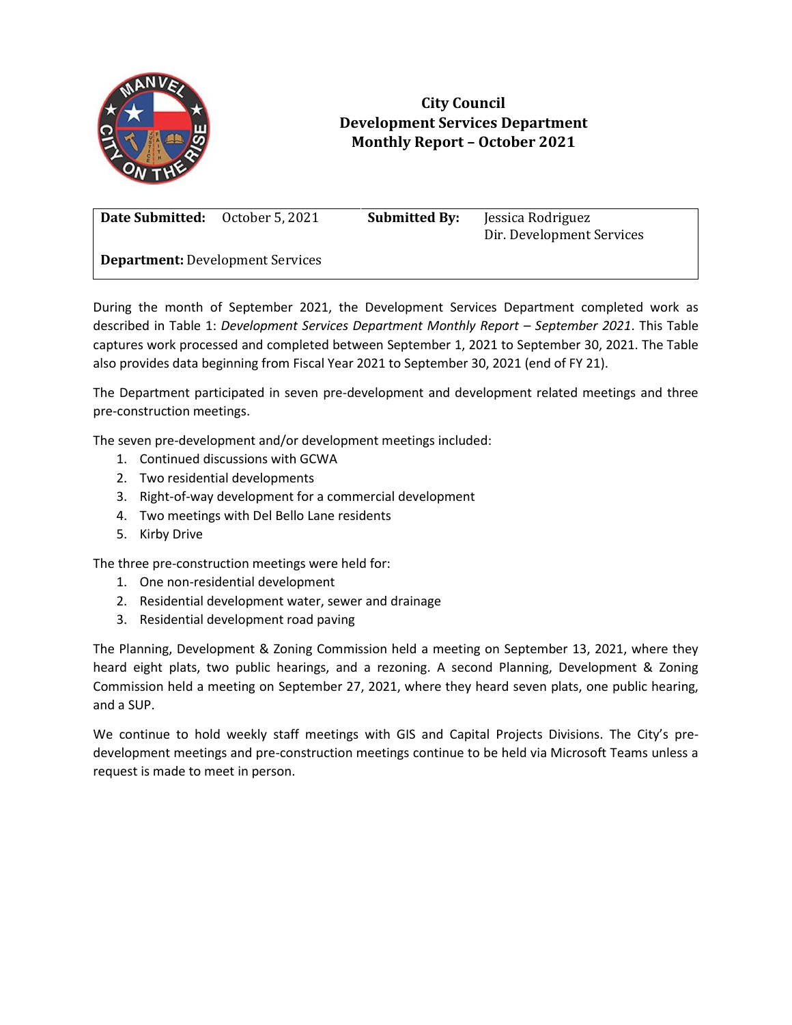

## **City Council Development Services Department Monthly Report – October 2021**

**Date Submitted:** October 5, 2021 **Submitted By:** Jessica Rodriguez

Dir. Development Services

**Department:** Development Services

During the month of September 2021, the Development Services Department completed work as described in Table 1: *Development Services Department Monthly Report – September 2021*. This Table captures work processed and completed between September 1, 2021 to September 30, 2021. The Table also provides data beginning from Fiscal Year 2021 to September 30, 2021 (end of FY 21).

The Department participated in seven pre-development and development related meetings and three pre-construction meetings.

The seven pre-development and/or development meetings included:

- 1. Continued discussions with GCWA
- 2. Two residential developments
- 3. Right-of-way development for a commercial development
- 4. Two meetings with Del Bello Lane residents
- 5. Kirby Drive

The three pre-construction meetings were held for:

- 1. One non-residential development
- 2. Residential development water, sewer and drainage
- 3. Residential development road paving

The Planning, Development & Zoning Commission held a meeting on September 13, 2021, where they heard eight plats, two public hearings, and a rezoning. A second Planning, Development & Zoning Commission held a meeting on September 27, 2021, where they heard seven plats, one public hearing, and a SUP.

We continue to hold weekly staff meetings with GIS and Capital Projects Divisions. The City's predevelopment meetings and pre-construction meetings continue to be held via Microsoft Teams unless a request is made to meet in person.